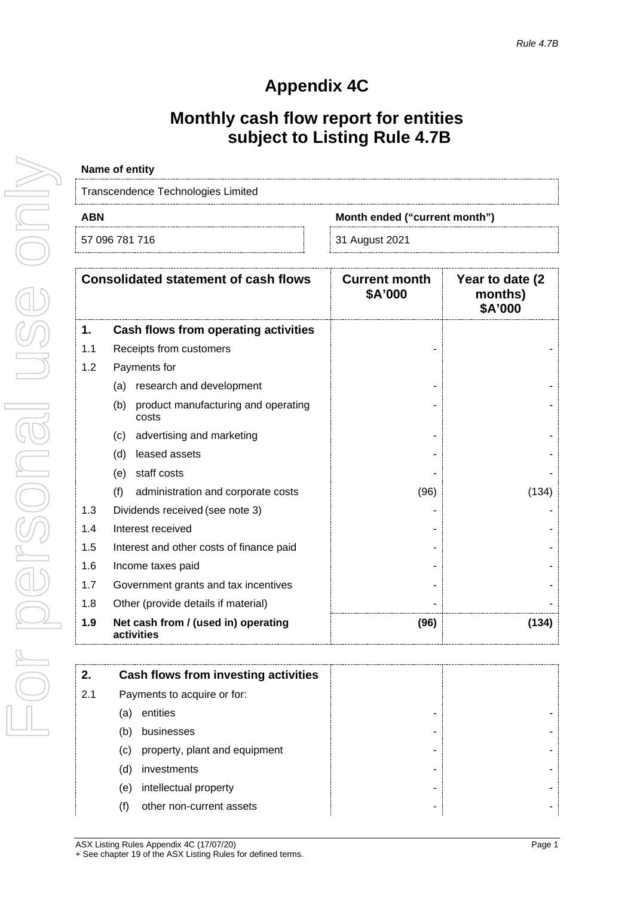## **Appendix 4C**

## **Monthly cash flow report for entities subject to Listing Rule 4.7B**

| Name of entity                     |                               |
|------------------------------------|-------------------------------|
| Transcendence Technologies Limited |                               |
| ABN                                | Month ended ("current month") |
|                                    |                               |

| 57 096 781 716 |  |  |
|----------------|--|--|
|                |  |  |

31 August 2021

|     | <b>Consolidated statement of cash flows</b>         | <b>Current month</b><br>\$A'000 | Year to date (2)<br>months)<br>\$A'000 |
|-----|-----------------------------------------------------|---------------------------------|----------------------------------------|
| 1.  | Cash flows from operating activities                |                                 |                                        |
| 1.1 | Receipts from customers                             |                                 |                                        |
| 1.2 | Payments for                                        |                                 |                                        |
|     | research and development<br>(a)                     |                                 |                                        |
|     | (b)<br>product manufacturing and operating<br>costs |                                 |                                        |
|     | advertising and marketing<br>(c)                    |                                 |                                        |
|     | leased assets<br>(d)                                |                                 |                                        |
|     | staff costs<br>(e)                                  |                                 |                                        |
|     | (f)<br>administration and corporate costs           | (96)                            | (134)                                  |
| 1.3 | Dividends received (see note 3)                     |                                 |                                        |
| 1.4 | Interest received                                   |                                 |                                        |
| 1.5 | Interest and other costs of finance paid            |                                 |                                        |
| 1.6 | Income taxes paid                                   |                                 |                                        |
| 1.7 | Government grants and tax incentives                |                                 |                                        |
| 1.8 | Other (provide details if material)                 |                                 |                                        |
| 1.9 | Net cash from / (used in) operating<br>activities   | (96)                            | (134)                                  |

|     | Cash flows from investing activities |  |
|-----|--------------------------------------|--|
|     |                                      |  |
| 2.1 | Payments to acquire or for:          |  |
|     | entities<br>a                        |  |
|     | businesses                           |  |
|     | property, plant and equipment<br>(C) |  |
|     | investments<br>(d)                   |  |
|     | intellectual property<br>(e)         |  |
|     | other non-current assets             |  |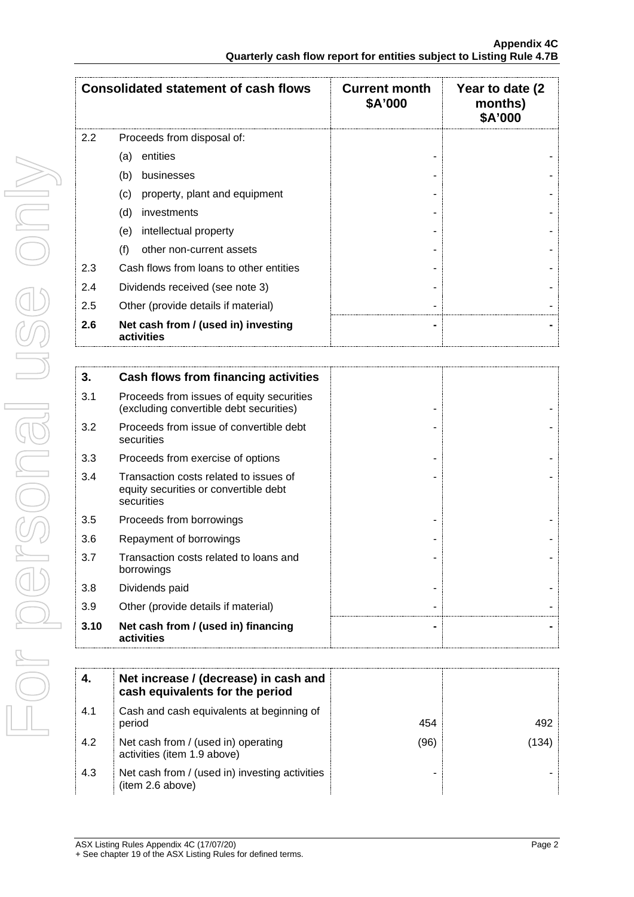|     | <b>Consolidated statement of cash flows</b>       | <b>Current month</b><br>\$A'000 | Year to date (2)<br>months)<br>\$A'000 |
|-----|---------------------------------------------------|---------------------------------|----------------------------------------|
| 2.2 | Proceeds from disposal of:                        |                                 |                                        |
|     | entities<br>(a)                                   |                                 |                                        |
|     | (b)<br>businesses                                 |                                 |                                        |
|     | property, plant and equipment<br>(C)              |                                 |                                        |
|     | (d)<br>investments                                |                                 |                                        |
|     | intellectual property<br>(e)                      |                                 |                                        |
|     | (f)<br>other non-current assets                   |                                 |                                        |
| 2.3 | Cash flows from loans to other entities           |                                 |                                        |
| 2.4 | Dividends received (see note 3)                   |                                 |                                        |
| 2.5 | Other (provide details if material)               |                                 |                                        |
| 2.6 | Net cash from / (used in) investing<br>activities |                                 |                                        |

| 3.   | Cash flows from financing activities                                                          |  |
|------|-----------------------------------------------------------------------------------------------|--|
| 3.1  | Proceeds from issues of equity securities<br>(excluding convertible debt securities)          |  |
| 3.2  | Proceeds from issue of convertible debt<br>securities                                         |  |
| 3.3  | Proceeds from exercise of options                                                             |  |
| 3.4  | Transaction costs related to issues of<br>equity securities or convertible debt<br>securities |  |
| 3.5  | Proceeds from borrowings                                                                      |  |
| 3.6  | Repayment of borrowings                                                                       |  |
| 3.7  | Transaction costs related to loans and<br>borrowings                                          |  |
| 3.8  | Dividends paid                                                                                |  |
| 3.9  | Other (provide details if material)                                                           |  |
| 3.10 | Net cash from / (used in) financing<br>activities                                             |  |

|     | Net increase / (decrease) in cash and<br>cash equivalents for the period |      |      |
|-----|--------------------------------------------------------------------------|------|------|
| 4.1 | Cash and cash equivalents at beginning of<br>period                      | 454  |      |
| 4.2 | Net cash from / (used in) operating<br>activities (item 1.9 above)       | (96) | 134. |
| 4.3 | Net cash from / (used in) investing activities<br>(item 2.6 above)       |      |      |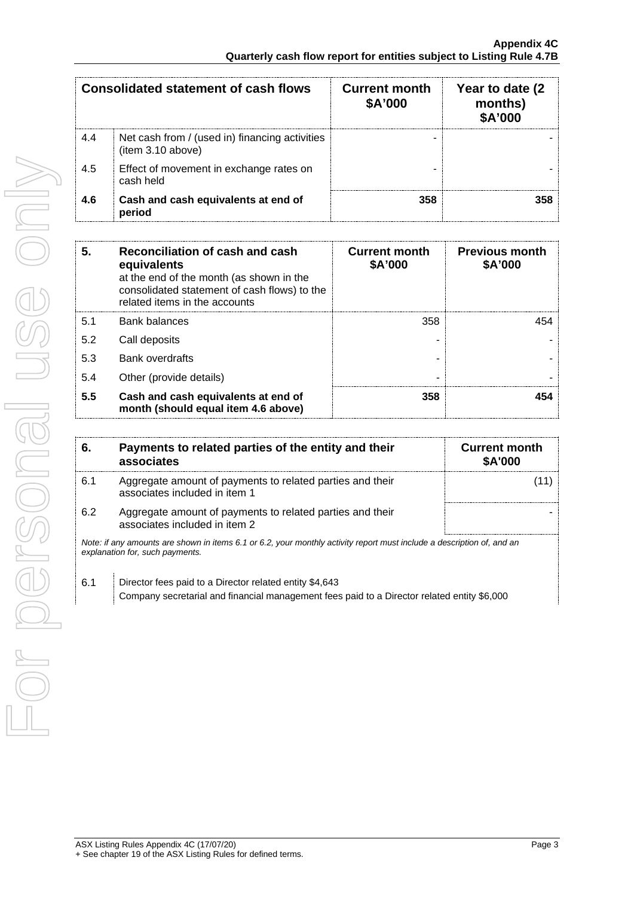|     | Consolidated statement of cash flows                                | <b>Current month</b><br>\$A'000 | Year to date (2)<br>months)<br><b>\$A'000</b> |
|-----|---------------------------------------------------------------------|---------------------------------|-----------------------------------------------|
| 4.4 | Net cash from / (used in) financing activities<br>(item 3.10 above) |                                 |                                               |
| 4.5 | Effect of movement in exchange rates on<br>cash held                |                                 |                                               |
| 4.6 | Cash and cash equivalents at end of<br>period                       | 358                             |                                               |

| 5.  | Reconciliation of cash and cash<br>equivalents<br>at the end of the month (as shown in the<br>consolidated statement of cash flows) to the<br>related items in the accounts | <b>Current month</b><br>\$A'000 | <b>Previous month</b><br>\$A'000 |
|-----|-----------------------------------------------------------------------------------------------------------------------------------------------------------------------------|---------------------------------|----------------------------------|
| 5.1 | <b>Bank balances</b>                                                                                                                                                        | 358                             | 454                              |
| 5.2 | Call deposits                                                                                                                                                               |                                 |                                  |
| 5.3 | <b>Bank overdrafts</b>                                                                                                                                                      |                                 |                                  |
| 5.4 | Other (provide details)                                                                                                                                                     |                                 |                                  |
| 5.5 | Cash and cash equivalents at end of<br>month (should equal item 4.6 above)                                                                                                  | 358                             |                                  |

| 6.                                                                                                                                                        | Payments to related parties of the entity and their<br>associates                          | <b>Current month</b><br><b>\$A'000</b> |
|-----------------------------------------------------------------------------------------------------------------------------------------------------------|--------------------------------------------------------------------------------------------|----------------------------------------|
| 6.1                                                                                                                                                       | Aggregate amount of payments to related parties and their<br>associates included in item 1 |                                        |
| 6.2                                                                                                                                                       | Aggregate amount of payments to related parties and their<br>associates included in item 2 |                                        |
| Note: if any amounts are shown in items 6.1 or 6.2, your monthly activity report must include a description of, and an<br>explanation for, such payments. |                                                                                            |                                        |
| 6.1                                                                                                                                                       | Director fees paid to a Director related entity \$4,643                                    |                                        |

Company secretarial and financial management fees paid to a Director related entity \$6,000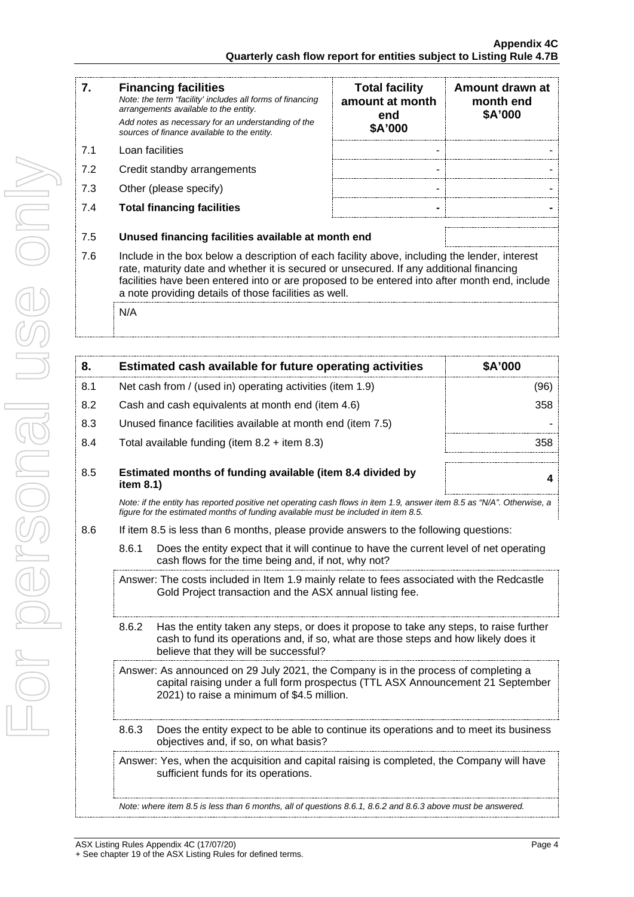|    | <b>Financing facilities</b><br>Note: the term "facility' includes all forms of financing<br>arrangements available to the entity.<br>Add notes as necessary for an understanding of the | <b>Total facility</b><br>amount at month<br>end<br>\$A'000 | Amount drawn at<br>month end<br>\$A'000 |
|----|-----------------------------------------------------------------------------------------------------------------------------------------------------------------------------------------|------------------------------------------------------------|-----------------------------------------|
| 71 | sources of finance available to the entity.<br>Loan facilities                                                                                                                          | ۰                                                          |                                         |
|    |                                                                                                                                                                                         |                                                            |                                         |

- 7.2 Credit standby arrangements
- 7.3 Other (please specify)
- 7.4 **Total financing facilities - -**

| <b>Total facility</b><br>amount at month<br>end<br>\$A'000 | Amount drawn at<br>month end<br>\$A'000 |
|------------------------------------------------------------|-----------------------------------------|
|                                                            |                                         |
|                                                            |                                         |
|                                                            |                                         |
|                                                            |                                         |

- 7.5 **Unused financing facilities available at month end**
- 7.6 Include in the box below a description of each facility above, including the lender, interest rate, maturity date and whether it is secured or unsecured. If any additional financing facilities have been entered into or are proposed to be entered into after month end, include a note providing details of those facilities as well.

N/A

| 8.  |                                                                                                                                                                                                                      | Estimated cash available for future operating activities                                                                                                                                                               | \$A'000 |  |
|-----|----------------------------------------------------------------------------------------------------------------------------------------------------------------------------------------------------------------------|------------------------------------------------------------------------------------------------------------------------------------------------------------------------------------------------------------------------|---------|--|
| 8.1 | Net cash from / (used in) operating activities (item 1.9)<br>(96)                                                                                                                                                    |                                                                                                                                                                                                                        |         |  |
| 8.2 |                                                                                                                                                                                                                      | Cash and cash equivalents at month end (item 4.6)<br>358                                                                                                                                                               |         |  |
| 8.3 |                                                                                                                                                                                                                      | Unused finance facilities available at month end (item 7.5)                                                                                                                                                            |         |  |
| 8.4 |                                                                                                                                                                                                                      | Total available funding (item $8.2 +$ item $8.3$ )<br>358                                                                                                                                                              |         |  |
| 8.5 | Estimated months of funding available (item 8.4 divided by<br>item 8.1)                                                                                                                                              |                                                                                                                                                                                                                        | 4       |  |
|     | Note: if the entity has reported positive net operating cash flows in item 1.9, answer item 8.5 as "N/A". Otherwise, a<br>figure for the estimated months of funding available must be included in item 8.5.         |                                                                                                                                                                                                                        |         |  |
| 8.6 | If item 8.5 is less than 6 months, please provide answers to the following questions:                                                                                                                                |                                                                                                                                                                                                                        |         |  |
|     | 8.6.1                                                                                                                                                                                                                | Does the entity expect that it will continue to have the current level of net operating<br>cash flows for the time being and, if not, why not?                                                                         |         |  |
|     | Answer: The costs included in Item 1.9 mainly relate to fees associated with the Redcastle<br>Gold Project transaction and the ASX annual listing fee.                                                               |                                                                                                                                                                                                                        |         |  |
|     | 8.6.2                                                                                                                                                                                                                | Has the entity taken any steps, or does it propose to take any steps, to raise further<br>cash to fund its operations and, if so, what are those steps and how likely does it<br>believe that they will be successful? |         |  |
|     | Answer: As announced on 29 July 2021, the Company is in the process of completing a<br>capital raising under a full form prospectus (TTL ASX Announcement 21 September<br>2021) to raise a minimum of \$4.5 million. |                                                                                                                                                                                                                        |         |  |
|     | 8.6.3                                                                                                                                                                                                                | Does the entity expect to be able to continue its operations and to meet its business<br>objectives and, if so, on what basis?                                                                                         |         |  |
|     | Answer: Yes, when the acquisition and capital raising is completed, the Company will have<br>sufficient funds for its operations.                                                                                    |                                                                                                                                                                                                                        |         |  |

*Note: where item 8.5 is less than 6 months, all of questions 8.6.1, 8.6.2 and 8.6.3 above must be answered.*